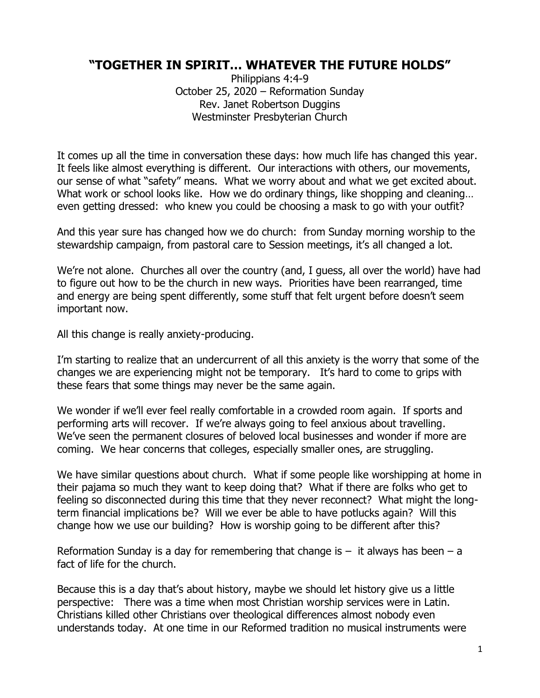## **"TOGETHER IN SPIRIT… WHATEVER THE FUTURE HOLDS"**

Philippians 4:4-9 October 25, 2020 – Reformation Sunday Rev. Janet Robertson Duggins Westminster Presbyterian Church

It comes up all the time in conversation these days: how much life has changed this year. It feels like almost everything is different. Our interactions with others, our movements, our sense of what "safety" means. What we worry about and what we get excited about. What work or school looks like. How we do ordinary things, like shopping and cleaning... even getting dressed: who knew you could be choosing a mask to go with your outfit?

And this year sure has changed how we do church: from Sunday morning worship to the stewardship campaign, from pastoral care to Session meetings, it's all changed a lot.

We're not alone. Churches all over the country (and, I guess, all over the world) have had to figure out how to be the church in new ways. Priorities have been rearranged, time and energy are being spent differently, some stuff that felt urgent before doesn't seem important now.

All this change is really anxiety-producing.

I'm starting to realize that an undercurrent of all this anxiety is the worry that some of the changes we are experiencing might not be temporary. It's hard to come to grips with these fears that some things may never be the same again.

We wonder if we'll ever feel really comfortable in a crowded room again. If sports and performing arts will recover. If we're always going to feel anxious about travelling. We've seen the permanent closures of beloved local businesses and wonder if more are coming. We hear concerns that colleges, especially smaller ones, are struggling.

We have similar questions about church. What if some people like worshipping at home in their pajama so much they want to keep doing that? What if there are folks who get to feeling so disconnected during this time that they never reconnect? What might the longterm financial implications be? Will we ever be able to have potlucks again? Will this change how we use our building? How is worship going to be different after this?

Reformation Sunday is a day for remembering that change is  $-$  it always has been  $-$  a fact of life for the church.

Because this is a day that's about history, maybe we should let history give us a little perspective: There was a time when most Christian worship services were in Latin. Christians killed other Christians over theological differences almost nobody even understands today. At one time in our Reformed tradition no musical instruments were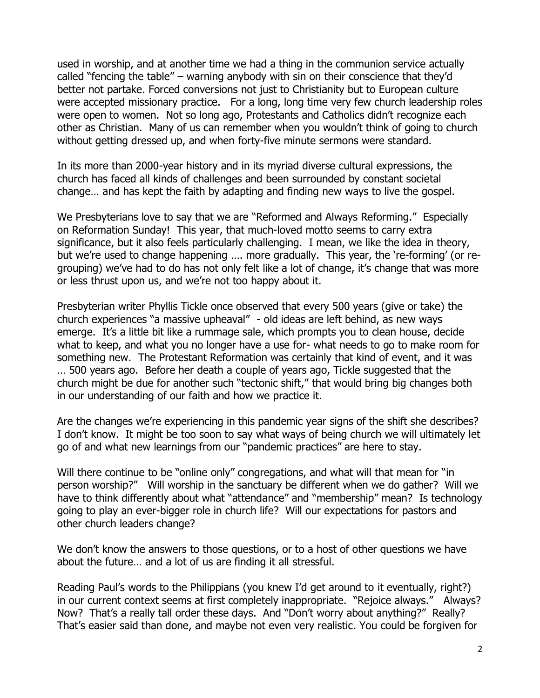used in worship, and at another time we had a thing in the communion service actually called "fencing the table" – warning anybody with sin on their conscience that they'd better not partake. Forced conversions not just to Christianity but to European culture were accepted missionary practice. For a long, long time very few church leadership roles were open to women. Not so long ago, Protestants and Catholics didn't recognize each other as Christian. Many of us can remember when you wouldn't think of going to church without getting dressed up, and when forty-five minute sermons were standard.

In its more than 2000-year history and in its myriad diverse cultural expressions, the church has faced all kinds of challenges and been surrounded by constant societal change… and has kept the faith by adapting and finding new ways to live the gospel.

We Presbyterians love to say that we are "Reformed and Always Reforming." Especially on Reformation Sunday! This year, that much-loved motto seems to carry extra significance, but it also feels particularly challenging. I mean, we like the idea in theory, but we're used to change happening …. more gradually. This year, the 're-forming' (or regrouping) we've had to do has not only felt like a lot of change, it's change that was more or less thrust upon us, and we're not too happy about it.

Presbyterian writer Phyllis Tickle once observed that every 500 years (give or take) the church experiences "a massive upheaval" - old ideas are left behind, as new ways emerge. It's a little bit like a rummage sale, which prompts you to clean house, decide what to keep, and what you no longer have a use for- what needs to go to make room for something new. The Protestant Reformation was certainly that kind of event, and it was … 500 years ago. Before her death a couple of years ago, Tickle suggested that the church might be due for another such "tectonic shift," that would bring big changes both in our understanding of our faith and how we practice it.

Are the changes we're experiencing in this pandemic year signs of the shift she describes? I don't know. It might be too soon to say what ways of being church we will ultimately let go of and what new learnings from our "pandemic practices" are here to stay.

Will there continue to be "online only" congregations, and what will that mean for "in person worship?" Will worship in the sanctuary be different when we do gather? Will we have to think differently about what "attendance" and "membership" mean? Is technology going to play an ever-bigger role in church life? Will our expectations for pastors and other church leaders change?

We don't know the answers to those questions, or to a host of other questions we have about the future… and a lot of us are finding it all stressful.

Reading Paul's words to the Philippians (you knew I'd get around to it eventually, right?) in our current context seems at first completely inappropriate. "Rejoice always." Always? Now? That's a really tall order these days. And "Don't worry about anything?" Really? That's easier said than done, and maybe not even very realistic. You could be forgiven for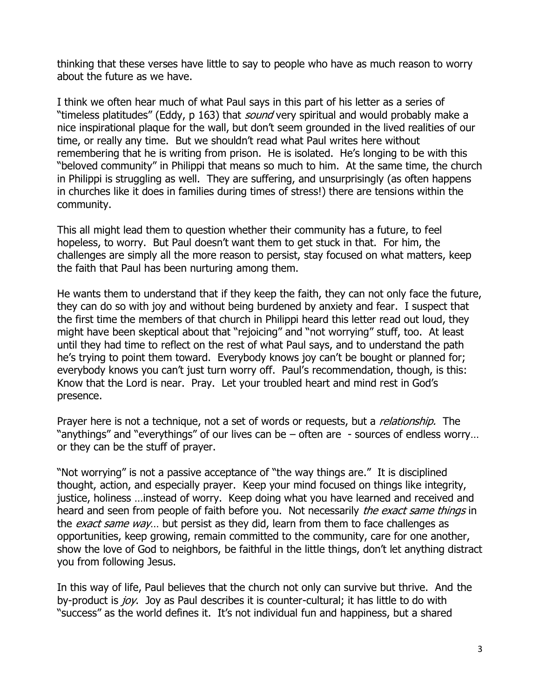thinking that these verses have little to say to people who have as much reason to worry about the future as we have.

I think we often hear much of what Paul says in this part of his letter as a series of "timeless platitudes" (Eddy, p 163) that *sound* very spiritual and would probably make a nice inspirational plaque for the wall, but don't seem grounded in the lived realities of our time, or really any time. But we shouldn't read what Paul writes here without remembering that he is writing from prison. He is isolated. He's longing to be with this "beloved community" in Philippi that means so much to him. At the same time, the church in Philippi is struggling as well. They are suffering, and unsurprisingly (as often happens in churches like it does in families during times of stress!) there are tensions within the community.

This all might lead them to question whether their community has a future, to feel hopeless, to worry. But Paul doesn't want them to get stuck in that. For him, the challenges are simply all the more reason to persist, stay focused on what matters, keep the faith that Paul has been nurturing among them.

He wants them to understand that if they keep the faith, they can not only face the future, they can do so with joy and without being burdened by anxiety and fear. I suspect that the first time the members of that church in Philippi heard this letter read out loud, they might have been skeptical about that "rejoicing" and "not worrying" stuff, too. At least until they had time to reflect on the rest of what Paul says, and to understand the path he's trying to point them toward. Everybody knows joy can't be bought or planned for; everybody knows you can't just turn worry off. Paul's recommendation, though, is this: Know that the Lord is near. Pray. Let your troubled heart and mind rest in God's presence.

Prayer here is not a technique, not a set of words or requests, but a *relationship*. The "anythings" and "everythings" of our lives can be – often are - sources of endless worry… or they can be the stuff of prayer.

"Not worrying" is not a passive acceptance of "the way things are." It is disciplined thought, action, and especially prayer. Keep your mind focused on things like integrity, justice, holiness …instead of worry. Keep doing what you have learned and received and heard and seen from people of faith before you. Not necessarily the exact same things in the *exact same way*... but persist as they did, learn from them to face challenges as opportunities, keep growing, remain committed to the community, care for one another, show the love of God to neighbors, be faithful in the little things, don't let anything distract you from following Jesus.

In this way of life, Paul believes that the church not only can survive but thrive. And the by-product is joy. Joy as Paul describes it is counter-cultural; it has little to do with "success" as the world defines it. It's not individual fun and happiness, but a shared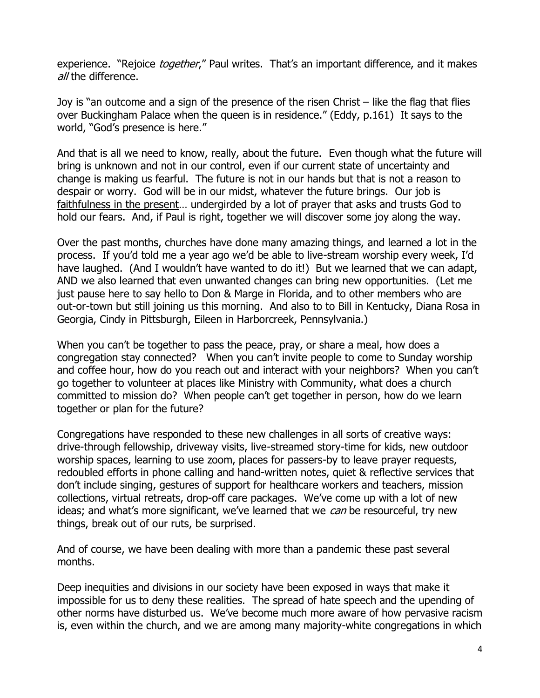experience. "Rejoice *together*," Paul writes. That's an important difference, and it makes all the difference.

Joy is "an outcome and a sign of the presence of the risen Christ – like the flag that flies over Buckingham Palace when the queen is in residence." (Eddy, p.161) It says to the world, "God's presence is here."

And that is all we need to know, really, about the future. Even though what the future will bring is unknown and not in our control, even if our current state of uncertainty and change is making us fearful. The future is not in our hands but that is not a reason to despair or worry. God will be in our midst, whatever the future brings. Our job is faithfulness in the present… undergirded by a lot of prayer that asks and trusts God to hold our fears. And, if Paul is right, together we will discover some joy along the way.

Over the past months, churches have done many amazing things, and learned a lot in the process. If you'd told me a year ago we'd be able to live-stream worship every week, I'd have laughed. (And I wouldn't have wanted to do it!) But we learned that we can adapt, AND we also learned that even unwanted changes can bring new opportunities. (Let me just pause here to say hello to Don & Marge in Florida, and to other members who are out-or-town but still joining us this morning. And also to to Bill in Kentucky, Diana Rosa in Georgia, Cindy in Pittsburgh, Eileen in Harborcreek, Pennsylvania.)

When you can't be together to pass the peace, pray, or share a meal, how does a congregation stay connected? When you can't invite people to come to Sunday worship and coffee hour, how do you reach out and interact with your neighbors? When you can't go together to volunteer at places like Ministry with Community, what does a church committed to mission do? When people can't get together in person, how do we learn together or plan for the future?

Congregations have responded to these new challenges in all sorts of creative ways: drive-through fellowship, driveway visits, live-streamed story-time for kids, new outdoor worship spaces, learning to use zoom, places for passers-by to leave prayer requests, redoubled efforts in phone calling and hand-written notes, quiet & reflective services that don't include singing, gestures of support for healthcare workers and teachers, mission collections, virtual retreats, drop-off care packages. We've come up with a lot of new ideas; and what's more significant, we've learned that we can be resourceful, try new things, break out of our ruts, be surprised.

And of course, we have been dealing with more than a pandemic these past several months.

Deep inequities and divisions in our society have been exposed in ways that make it impossible for us to deny these realities. The spread of hate speech and the upending of other norms have disturbed us. We've become much more aware of how pervasive racism is, even within the church, and we are among many majority-white congregations in which